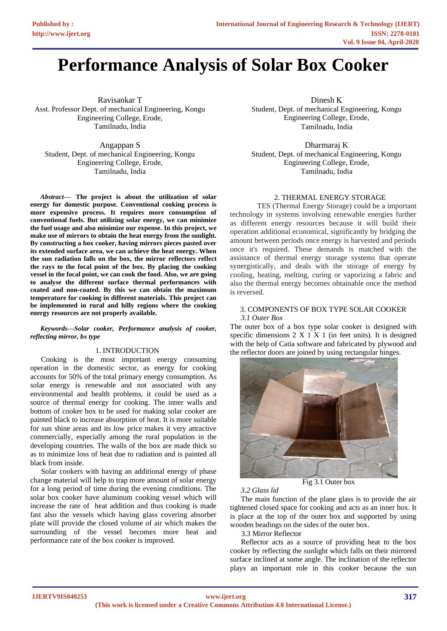# **Performance Analysis of Solar Box Cooker**

Ravisankar T Asst. Professor Dept. of mechanical Engineering, Kongu Engineering College, Erode, Tamilnadu, India

Angappan S Student, Dept. of mechanical Engineering, Kongu Engineering College, Erode, Tamilnadu, India

*Abstract***— The project is about the utilization of solar energy for domestic purpose. Conventional cooking process is more expensive process. It requires more consumption of conventional fuels. But utilizing solar energy, we can minimize the fuel usage and also minimize our expense. In this project, we make use of mirrors to obtain the heat energy from the sunlight. By constructing a box cooker, having mirrors pieces pasted over its extended surface area, we can achieve the heat energy. When the sun radiation falls on the box, the mirror reflectors reflect the rays to the focal point of the box. By placing the cooking vessel in the focal point, we can cook the food. Also, we are going to analyse the different surface thermal performances with coated and non-coated. By this we can obtain the maximum temperature for cooking in different materials. This project can be implemented in rural and hilly regions where the cooking energy resources are not properly available.** 

#### *Keywords—Solar cooker, Performance analysis of cooker, reflecting mirror, bx type*

#### 1. INTRODUCTION

Cooking is the most important energy consuming operation in the domestic sector, as energy for cooking accounts for 50% of the total primary energy consumption. As solar energy is renewable and not associated with any environmental and health problems, it could be used as a source of thermal energy for cooking. The inner walls and bottom of cooker box to be used for making solar cooker are painted black to increase absorption of heat. It is more suitable for sun shine areas and its low price makes it very attractive commercially, especially among the rural population in the developing countries. The walls of the box are made thick so as to minimize loss of heat due to radiation and is painted all black from inside.

Solar cookers with having an additional energy of phase change material will help to trap more amount of solar energy for a long period of time during the evening conditions. The solar box cooker have aluminum cooking vessel which will increase the rate of heat addition and thus cooking is made fast also the vessels which having glass covering absorber plate will provide the closed volume of air which makes the surrounding of the vessel becomes more heat and performance rate of the box cooker is improved.

Dinesh K Student, Dept. of mechanical Engineering, Kongu Engineering College, Erode, Tamilnadu, India

Dharmaraj K Student, Dept. of mechanical Engineering, Kongu Engineering College, Erode, Tamilnadu, India

## 2. THERMAL ENERGY STORAGE

TES (Thermal Energy Storage) could be a important technology in systems involving renewable energies further as different energy resources because it will build their operation additional economical, significantly by bridging the amount between periods once energy is harvested and periods once it's required. These demands is matched with the assistance of thermal energy storage systems that operate synergistically, and deals with the storage of energy by cooling, heating, melting, curing or vaporizing a fabric and also the thermal energy becomes obtainable once the method is reversed.

#### 3. COMPONENTS OF BOX TYPE SOLAR COOKER *3.1 Outer Box*

The outer box of a box type solar cooker is designed with specific dimensions  $2 \times 1 \times 1$  (in feet units). It is designed with the help of Catia software and fabricated by plywood and the reflector doors are joined by using rectangular hinges.



Fig 3.1 Outer box

## *3.2 Glass lid*

The main function of the plane glass is to provide the air tightened closed space for cooking and acts as an inner box. It is place at the top of the outer box and supported by using wooden beadings on the sides of the outer box.

3.3 Mirror Reflector

Reflector acts as a source of providing heat to the box cooker by reflecting the sunlight which falls on their mirrored surface inclined at some angle. The inclination of the reflector plays an important role in this cooker because the sun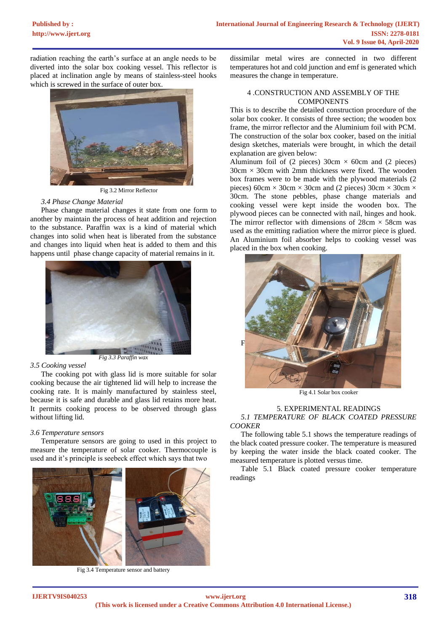radiation reaching the earth's surface at an angle needs to be diverted into the solar box cooking vessel. This reflector is placed at inclination angle by means of stainless-steel hooks which is screwed in the surface of outer box.



Fig 3.2 Mirror Reflector

### *3.4 Phase Change Material*

Phase change material changes it state from one form to another by maintain the process of heat addition and rejection to the substance. Paraffin wax is a kind of material which changes into solid when heat is liberated from the substance and changes into liquid when heat is added to them and this happens until phase change capacity of material remains in it.



#### *3.5 Cooking vessel*

The cooking pot with glass lid is more suitable for solar cooking because the air tightened lid will help to increase the cooking rate. It is mainly manufactured by stainless steel, because it is safe and durable and glass lid retains more heat. It permits cooking process to be observed through glass without lifting lid.

#### *3.6 Temperature sensors*

Temperature sensors are going to used in this project to measure the temperature of solar cooker. Thermocouple is used and it's principle is seebeck effect which says that two



Fig 3.4 Temperature sensor and battery

dissimilar metal wires are connected in two different temperatures hot and cold junction and emf is generated which measures the change in temperature.

### 4 .CONSTRUCTION AND ASSEMBLY OF THE **COMPONENTS**

This is to describe the detailed construction procedure of the solar box cooker. It consists of three section; the wooden box frame, the mirror reflector and the Aluminium foil with PCM. The construction of the solar box cooker, based on the initial design sketches, materials were brought, in which the detail explanation are given below:

Aluminum foil of (2 pieces)  $30 \text{cm} \times 60 \text{cm}$  and (2 pieces)  $30cm \times 30cm$  with 2mm thickness were fixed. The wooden box frames were to be made with the plywood materials (2 pieces) 60cm  $\times$  30cm  $\times$  30cm and (2 pieces) 30cm  $\times$  30cm  $\times$ 30cm. The stone pebbles, phase change materials and cooking vessel were kept inside the wooden box. The plywood pieces can be connected with nail, hinges and hook. The mirror reflector with dimensions of  $28 \text{cm} \times 58 \text{cm}$  was used as the emitting radiation where the mirror piece is glued. An Aluminium foil absorber helps to cooking vessel was placed in the box when cooking.



Fig 4.1 Solar box cooker

#### 5. EXPERIMENTAL READINGS *5.1 TEMPERATURE OF BLACK COATED PRESSURE COOKER*

The following table 5.1 shows the temperature readings of the black coated pressure cooker. The temperature is measured by keeping the water inside the black coated cooker. The measured temperature is plotted versus time.

Table 5.1 Black coated pressure cooker temperature readings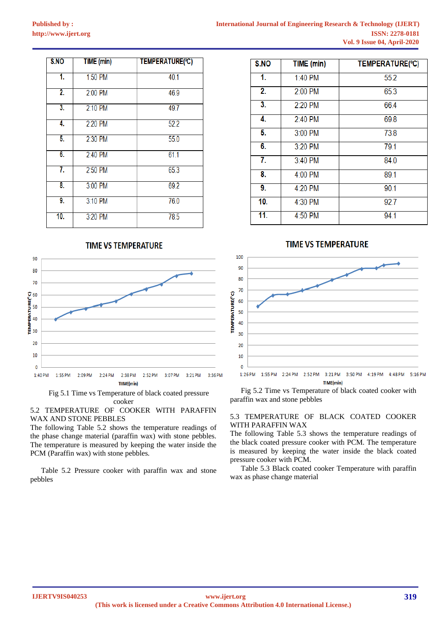| S.NO              | TIME (min) | TEMPERATURE(°C) |  |
|-------------------|------------|-----------------|--|
| 1.                | 1:50 PM    | 40.1            |  |
| $\overline{2}$ .  | 2:00 PM    | 46.9            |  |
| 3.                | $2:10$ PM  | 49.7            |  |
| 4.                | 2:20 PM    | 52.2            |  |
| 5.                | 2:30 PM    | 55.0            |  |
| 6.                | 2:40 PM    | 61.1            |  |
| 7.                | 2:50 PM    | 65.3            |  |
| 8.                | 3:00 PM    | 69.2            |  |
| 9.                | 3:10 PM    | 76.0            |  |
| $\overline{10}$ . | 3:20 PM    | 78.5            |  |



Fig 5.1 Time vs Temperature of black coated pressure cooker

5.2 TEMPERATURE OF COOKER WITH PARAFFIN WAX AND STONE PEBBLES

The following Table 5.2 shows the temperature readings of the phase change material (paraffin wax) with stone pebbles. The temperature is measured by keeping the water inside the PCM (Paraffin wax) with stone pebbles.

Table 5.2 Pressure cooker with paraffin wax and stone pebbles

| S.NO             | TIME (min) | TEMPERATURE(°C) |  |
|------------------|------------|-----------------|--|
| 1.               | 1:40 PM    | 55.2            |  |
| 2.               | 2:00 PM    | 65.3            |  |
| $\overline{3}$ . | 2:20 PM    | 66.4            |  |
| 4.               | 2:40 PM    | 69.8            |  |
| 5.               | 3:00 PM    | 73.8            |  |
| 6.               | 3:20 PM    | 79.1            |  |
| 7.               | 3:40 PM    | 84.0            |  |
| 8.               | 4:00 PM    | 89.1            |  |
| 9.               | 4:20 PM    | 90.1            |  |
| 10.              | 4:30 PM    | 92.7            |  |
| 11.              | 4:50 PM    | 94.1            |  |

# **TIME VS TEMPERATURE**



Fig 5.2 Time vs Temperature of black coated cooker with paraffin wax and stone pebbles

### 5.3 TEMPERATURE OF BLACK COATED COOKER WITH PARAFFIN WAX

The following Table 5.3 shows the temperature readings of the black coated pressure cooker with PCM. The temperature is measured by keeping the water inside the black coated pressure cooker with PCM.

Table 5.3 Black coated cooker Temperature with paraffin wax as phase change material